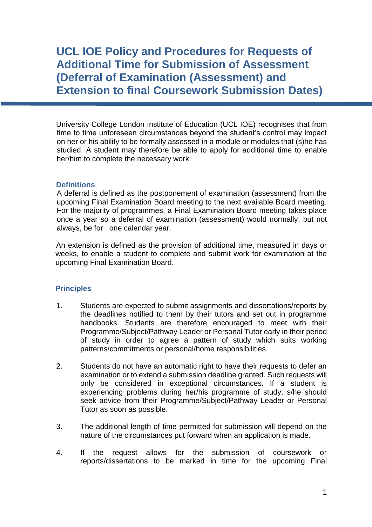**UCL IOE Policy and Procedures for Requests of Additional Time for Submission of Assessment (Deferral of Examination (Assessment) and Extension to final Coursework Submission Dates)**

University College London Institute of Education (UCL IOE) recognises that from time to time unforeseen circumstances beyond the student's control may impact on her or his ability to be formally assessed in a module or modules that (s)he has studied. A student may therefore be able to apply for additional time to enable her/him to complete the necessary work.

## **Definitions**

A deferral is defined as the postponement of examination (assessment) from the upcoming Final Examination Board meeting to the next available Board meeting. For the majority of programmes, a Final Examination Board meeting takes place once a year so a deferral of examination (assessment) would normally, but not always, be for one calendar year.

An extension is defined as the provision of additional time, measured in days or weeks, to enable a student to complete and submit work for examination at the upcoming Final Examination Board.

## **Principles**

- 1. Students are expected to submit assignments and dissertations/reports by the deadlines notified to them by their tutors and set out in programme handbooks. Students are therefore encouraged to meet with their Programme/Subject/Pathway Leader or Personal Tutor early in their period of study in order to agree a pattern of study which suits working patterns/commitments or personal/home responsibilities.
- 2. Students do not have an automatic right to have their requests to defer an examination or to extend a submission deadline granted. Such requests will only be considered in exceptional circumstances. If a student is experiencing problems during her/his programme of study, s/he should seek advice from their Programme/Subject/Pathway Leader or Personal Tutor as soon as possible.
- 3. The additional length of time permitted for submission will depend on the nature of the circumstances put forward when an application is made.
- 4. If the request allows for the submission of coursework or reports/dissertations to be marked in time for the upcoming Final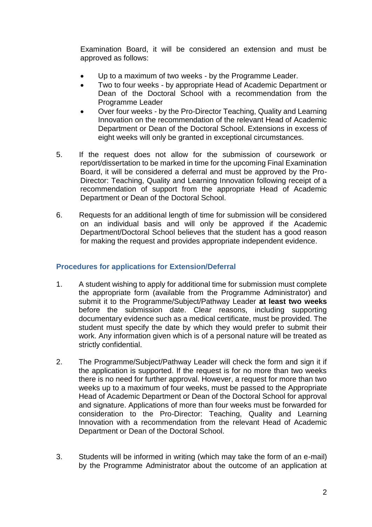Examination Board, it will be considered an extension and must be approved as follows:

- Up to a maximum of two weeks by the Programme Leader.
- Two to four weeks by appropriate Head of Academic Department or Dean of the Doctoral School with a recommendation from the Programme Leader
- Over four weeks by the Pro-Director Teaching, Quality and Learning Innovation on the recommendation of the relevant Head of Academic Department or Dean of the Doctoral School. Extensions in excess of eight weeks will only be granted in exceptional circumstances.
- 5. If the request does not allow for the submission of coursework or report/dissertation to be marked in time for the upcoming Final Examination Board, it will be considered a deferral and must be approved by the Pro-Director: Teaching, Quality and Learning Innovation following receipt of a recommendation of support from the appropriate Head of Academic Department or Dean of the Doctoral School.
- 6. Requests for an additional length of time for submission will be considered on an individual basis and will only be approved if the Academic Department/Doctoral School believes that the student has a good reason for making the request and provides appropriate independent evidence.

## **Procedures for applications for Extension/Deferral**

- 1. A student wishing to apply for additional time for submission must complete the appropriate form (available from the Programme Administrator) and submit it to the Programme/Subject/Pathway Leader **at least two weeks** before the submission date. Clear reasons, including supporting documentary evidence such as a medical certificate, must be provided. The student must specify the date by which they would prefer to submit their work. Any information given which is of a personal nature will be treated as strictly confidential.
- 2. The Programme/Subject/Pathway Leader will check the form and sign it if the application is supported. If the request is for no more than two weeks there is no need for further approval. However, a request for more than two weeks up to a maximum of four weeks, must be passed to the Appropriate Head of Academic Department or Dean of the Doctoral School for approval and signature. Applications of more than four weeks must be forwarded for consideration to the Pro-Director: Teaching, Quality and Learning Innovation with a recommendation from the relevant Head of Academic Department or Dean of the Doctoral School.
- 3. Students will be informed in writing (which may take the form of an e-mail) by the Programme Administrator about the outcome of an application at